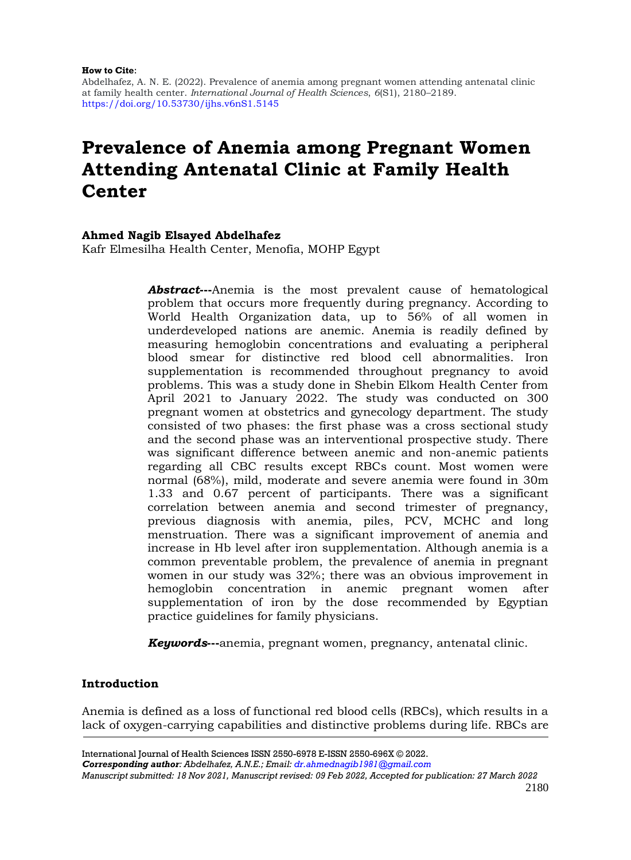#### **How to Cite**:

Abdelhafez, A. N. E. (2022). Prevalence of anemia among pregnant women attending antenatal clinic at family health center. *International Journal of Health Sciences*, *6*(S1), 2180–2189. <https://doi.org/10.53730/ijhs.v6nS1.5145>

# **Prevalence of Anemia among Pregnant Women Attending Antenatal Clinic at Family Health Center**

#### **Ahmed Nagib Elsayed Abdelhafez**

Kafr Elmesilha Health Center, Menofia, MOHP Egypt

Abstract---Anemia is the most prevalent cause of hematological problem that occurs more frequently during pregnancy. According to World Health Organization data, up to 56% of all women in underdeveloped nations are anemic. Anemia is readily defined by measuring hemoglobin concentrations and evaluating a peripheral blood smear for distinctive red blood cell abnormalities. Iron supplementation is recommended throughout pregnancy to avoid problems. This was a study done in Shebin Elkom Health Center from April 2021 to January 2022. The study was conducted on 300 pregnant women at obstetrics and gynecology department. The study consisted of two phases: the first phase was a cross sectional study and the second phase was an interventional prospective study. There was significant difference between anemic and non-anemic patients regarding all CBC results except RBCs count. Most women were normal (68%), mild, moderate and severe anemia were found in 30m 1.33 and 0.67 percent of participants. There was a significant correlation between anemia and second trimester of pregnancy, previous diagnosis with anemia, piles, PCV, MCHC and long menstruation. There was a significant improvement of anemia and increase in Hb level after iron supplementation. Although anemia is a common preventable problem, the prevalence of anemia in pregnant women in our study was 32%; there was an obvious improvement in hemoglobin concentration in anemic pregnant women after supplementation of iron by the dose recommended by Egyptian practice guidelines for family physicians.

*Keywords*---anemia, pregnant women, pregnancy, antenatal clinic.

# **Introduction**

Anemia is defined as a loss of functional red blood cells (RBCs), which results in a lack of oxygen-carrying capabilities and distinctive problems during life. RBCs are

International Journal of Health Sciences ISSN 2550-6978 E-ISSN 2550-696X © 2022. *Corresponding author: Abdelhafez, A.N.E.; Email: [dr.ahmednagib1981@gmail.com](mailto:dr.ahmednagib1981@gmail.com)*

*Manuscript submitted: 18 Nov 2021, Manuscript revised: 09 Feb 2022, Accepted for publication: 27 March 2022*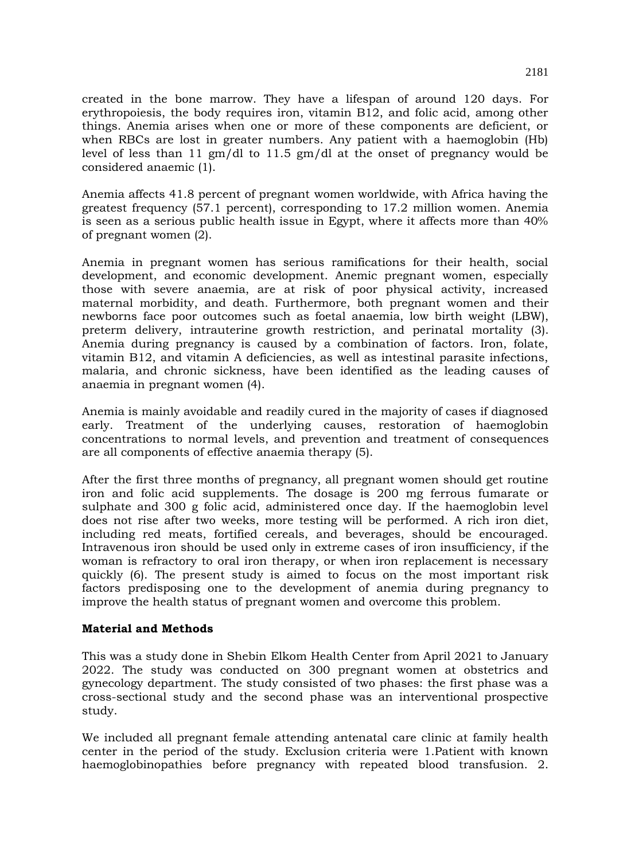created in the bone marrow. They have a lifespan of around 120 days. For erythropoiesis, the body requires iron, vitamin B12, and folic acid, among other things. Anemia arises when one or more of these components are deficient, or when RBCs are lost in greater numbers. Any patient with a haemoglobin (Hb) level of less than 11 gm/dl to 11.5 gm/dl at the onset of pregnancy would be considered anaemic (1).

Anemia affects 41.8 percent of pregnant women worldwide, with Africa having the greatest frequency (57.1 percent), corresponding to 17.2 million women. Anemia is seen as a serious public health issue in Egypt, where it affects more than 40% of pregnant women (2).

Anemia in pregnant women has serious ramifications for their health, social development, and economic development. Anemic pregnant women, especially those with severe anaemia, are at risk of poor physical activity, increased maternal morbidity, and death. Furthermore, both pregnant women and their newborns face poor outcomes such as foetal anaemia, low birth weight (LBW), preterm delivery, intrauterine growth restriction, and perinatal mortality (3). Anemia during pregnancy is caused by a combination of factors. Iron, folate, vitamin B12, and vitamin A deficiencies, as well as intestinal parasite infections, malaria, and chronic sickness, have been identified as the leading causes of anaemia in pregnant women (4).

Anemia is mainly avoidable and readily cured in the majority of cases if diagnosed early. Treatment of the underlying causes, restoration of haemoglobin concentrations to normal levels, and prevention and treatment of consequences are all components of effective anaemia therapy (5).

After the first three months of pregnancy, all pregnant women should get routine iron and folic acid supplements. The dosage is 200 mg ferrous fumarate or sulphate and 300 g folic acid, administered once day. If the haemoglobin level does not rise after two weeks, more testing will be performed. A rich iron diet, including red meats, fortified cereals, and beverages, should be encouraged. Intravenous iron should be used only in extreme cases of iron insufficiency, if the woman is refractory to oral iron therapy, or when iron replacement is necessary quickly (6). The present study is aimed to focus on the most important risk factors predisposing one to the development of anemia during pregnancy to improve the health status of pregnant women and overcome this problem.

#### **Material and Methods**

This was a study done in Shebin Elkom Health Center from April 2021 to January 2022. The study was conducted on 300 pregnant women at obstetrics and gynecology department. The study consisted of two phases: the first phase was a cross-sectional study and the second phase was an interventional prospective study.

We included all pregnant female attending antenatal care clinic at family health center in the period of the study. Exclusion criteria were 1.Patient with known haemoglobinopathies before pregnancy with repeated blood transfusion. 2.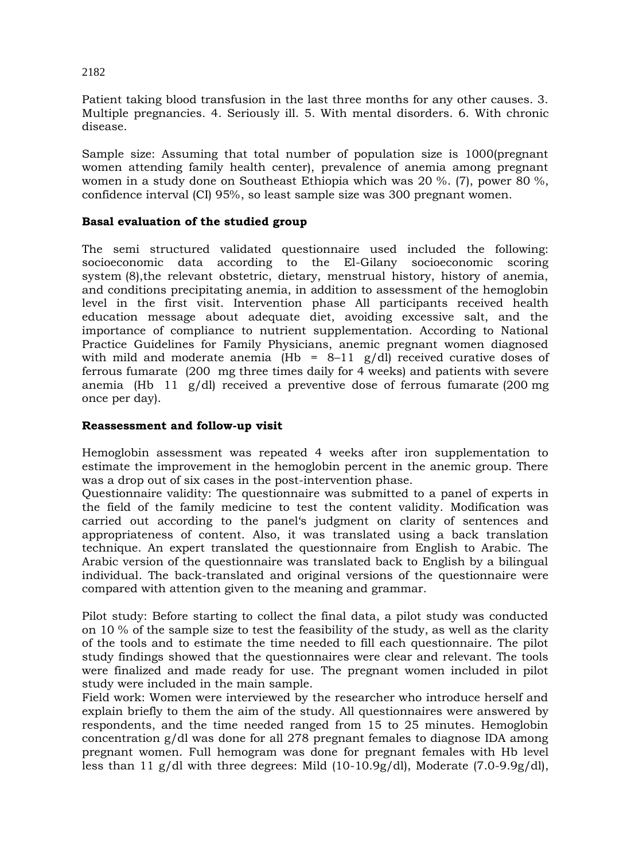Patient taking blood transfusion in the last three months for any other causes. 3. Multiple pregnancies. 4. Seriously ill. 5. With mental disorders. 6. With chronic disease.

Sample size: Assuming that total number of population size is 1000(pregnant women attending family health center), prevalence of anemia among pregnant women in a study done on Southeast Ethiopia which was 20 %. (7), power 80 %, confidence interval (CI) 95%, so least sample size was 300 pregnant women.

#### **Basal evaluation of the studied group**

The semi structured validated questionnaire used included the following: socioeconomic data according to the El-Gilany socioeconomic scoring system (8),the relevant obstetric, dietary, menstrual history, history of anemia, and conditions precipitating anemia, in addition to assessment of the hemoglobin level in the first visit. Intervention phase All participants received health education message about adequate diet, avoiding excessive salt, and the importance of compliance to nutrient supplementation. According to National Practice Guidelines for Family Physicians, anemic pregnant women diagnosed with mild and moderate anemia (Hb =  $8-11$  g/dl) received curative doses of ferrous fumarate (200 mg three times daily for 4 weeks) and patients with severe anemia (Hb 11  $g/dl$ ) received a preventive dose of ferrous fumarate (200 mg once per day).

#### **Reassessment and follow-up visit**

Hemoglobin assessment was repeated 4 weeks after iron supplementation to estimate the improvement in the hemoglobin percent in the anemic group. There was a drop out of six cases in the post-intervention phase.

Questionnaire validity: The questionnaire was submitted to a panel of experts in the field of the family medicine to test the content validity. Modification was carried out according to the panel's judgment on clarity of sentences and appropriateness of content. Also, it was translated using a back translation technique. An expert translated the questionnaire from English to Arabic. The Arabic version of the questionnaire was translated back to English by a bilingual individual. The back-translated and original versions of the questionnaire were compared with attention given to the meaning and grammar.

Pilot study: Before starting to collect the final data, a pilot study was conducted on 10 % of the sample size to test the feasibility of the study, as well as the clarity of the tools and to estimate the time needed to fill each questionnaire. The pilot study findings showed that the questionnaires were clear and relevant. The tools were finalized and made ready for use. The pregnant women included in pilot study were included in the main sample.

Field work: Women were interviewed by the researcher who introduce herself and explain briefly to them the aim of the study. All questionnaires were answered by respondents, and the time needed ranged from 15 to 25 minutes. Hemoglobin concentration g/dl was done for all 278 pregnant females to diagnose IDA among pregnant women. Full hemogram was done for pregnant females with Hb level less than 11 g/dl with three degrees: Mild (10-10.9g/dl), Moderate (7.0-9.9g/dl),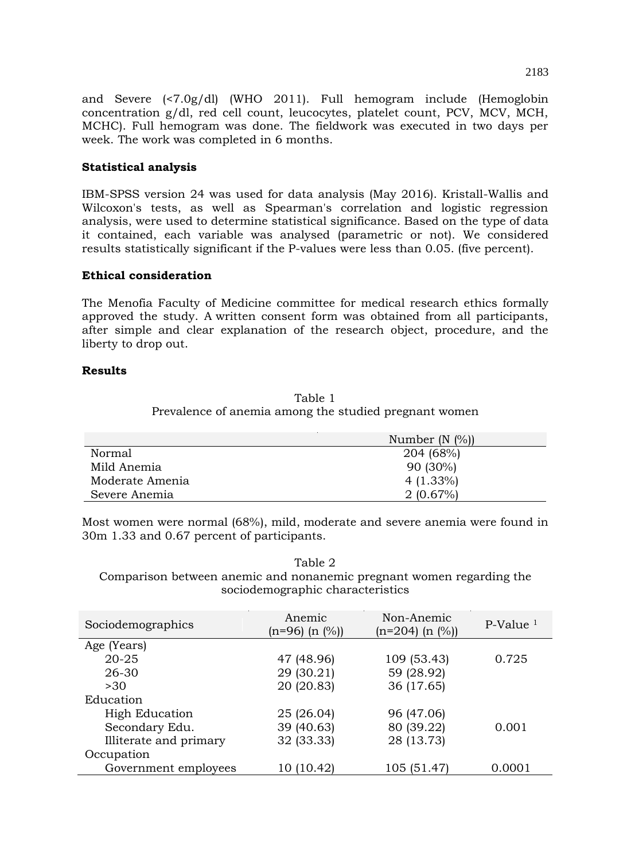and Severe (<7.0g/dl) (WHO 2011). Full hemogram include (Hemoglobin concentration g/dl, red cell count, leucocytes, platelet count, PCV, MCV, MCH, MCHC). Full hemogram was done. The fieldwork was executed in two days per week. The work was completed in 6 months.

### **Statistical analysis**

IBM-SPSS version 24 was used for data analysis (May 2016). Kristall-Wallis and Wilcoxon's tests, as well as Spearman's correlation and logistic regression analysis, were used to determine statistical significance. Based on the type of data it contained, each variable was analysed (parametric or not). We considered results statistically significant if the P-values were less than 0.05. (five percent).

#### **Ethical consideration**

The Menofia Faculty of Medicine committee for medical research ethics formally approved the study. A written consent form was obtained from all participants, after simple and clear explanation of the research object, procedure, and the liberty to drop out.

#### **Results**

Table 1 Prevalence of anemia among the studied pregnant women

|                 | Number $(N \ (\%))$ |
|-----------------|---------------------|
| Normal          | 204 (68%)           |
| Mild Anemia     | $90(30\%)$          |
| Moderate Amenia | $4(1.33\%)$         |
| Severe Anemia   | 2(0.67%)            |

Most women were normal (68%), mild, moderate and severe anemia were found in 30m 1.33 and 0.67 percent of participants.

Table 2 Comparison between anemic and nonanemic pregnant women regarding the sociodemographic characteristics

| Sociodemographics      | Anemic<br>$(n=96)$ $(n \ (\%)$ | Non-Anemic<br>$(n=204)$ $(n \ (\%)$ | $P-Value1$ |
|------------------------|--------------------------------|-------------------------------------|------------|
| Age (Years)            |                                |                                     |            |
| $20 - 25$              | 47 (48.96)                     | 109 (53.43)                         | 0.725      |
| 26-30                  | 29 (30.21)                     | 59 (28.92)                          |            |
| >30                    | 20 (20.83)                     | 36 (17.65)                          |            |
| Education              |                                |                                     |            |
| <b>High Education</b>  | 25 (26.04)                     | 96 (47.06)                          |            |
| Secondary Edu.         | 39 (40.63)                     | 80 (39.22)                          | 0.001      |
| Illiterate and primary | 32 (33.33)                     | 28 (13.73)                          |            |
| Occupation             |                                |                                     |            |
| Government employees   | 10 (10.42)                     | 105 (51.47)                         | 0.0001     |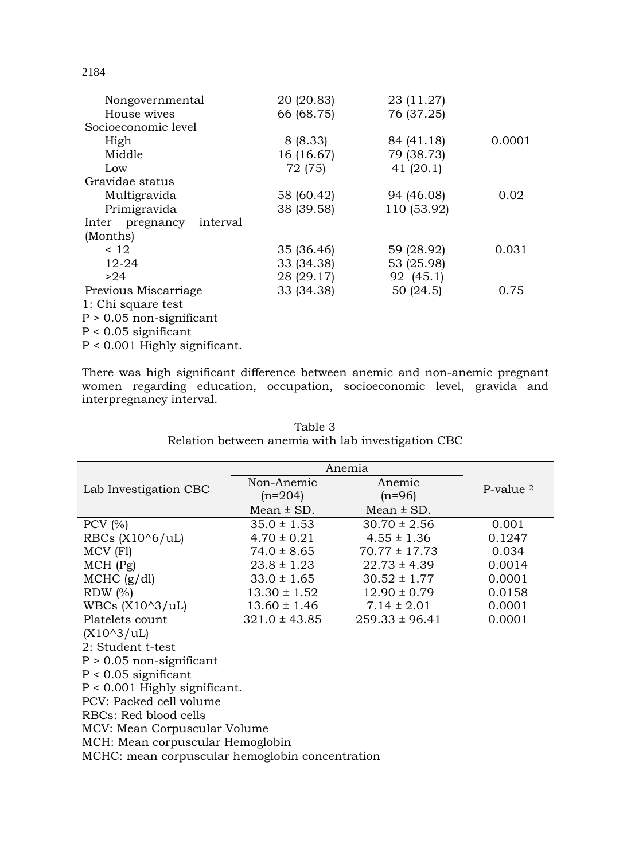| Nongovernmental             | 20 (20.83) | 23 (11.27)  |        |
|-----------------------------|------------|-------------|--------|
| House wives                 | 66 (68.75) | 76 (37.25)  |        |
| Socioeconomic level         |            |             |        |
| High                        | 8(8.33)    | 84 (41.18)  | 0.0001 |
| Middle                      | 16 (16.67) | 79 (38.73)  |        |
| Low                         | 72 (75)    | 41 $(20.1)$ |        |
| Gravidae status             |            |             |        |
| Multigravida                | 58 (60.42) | 94 (46.08)  | 0.02   |
| Primigravida                | 38 (39.58) | 110 (53.92) |        |
| interval<br>Inter pregnancy |            |             |        |
| (Months)                    |            |             |        |
| < 12                        | 35 (36.46) | 59 (28.92)  | 0.031  |
| $12 - 24$                   | 33 (34.38) | 53 (25.98)  |        |
| >24                         | 28 (29.17) | 92 (45.1)   |        |
| Previous Miscarriage        | 33 (34.38) | 50 (24.5)   | 0.75   |
| 1: Chi square test          |            |             |        |

P > 0.05 non-significant

P < 0.05 significant

P < 0.001 Highly significant.

There was high significant difference between anemic and non-anemic pregnant women regarding education, occupation, socioeconomic level, gravida and interpregnancy interval.

|                                                 | Anemia            |                    |              |
|-------------------------------------------------|-------------------|--------------------|--------------|
|                                                 | Non-Anemic        | Anemic             | P-value $^2$ |
| Lab Investigation CBC                           | $(n=204)$         | $(n=96)$           |              |
|                                                 | $Mean \pm SD$ .   | Mean $\pm$ SD.     |              |
| PCV $(% )$                                      | $35.0 \pm 1.53$   | $30.70 \pm 2.56$   | 0.001        |
| RBCs $(X106/uL)$                                | $4.70 \pm 0.21$   | $4.55 \pm 1.36$    | 0.1247       |
| MCV (F1)                                        | $74.0 \pm 8.65$   | $70.77 \pm 17.73$  | 0.034        |
| $MCH$ (Pg)                                      | $23.8 \pm 1.23$   | $22.73 \pm 4.39$   | 0.0014       |
| MCHC (g/dl)                                     | $33.0 \pm 1.65$   | $30.52 \pm 1.77$   | 0.0001       |
| RDW $(\%)$                                      | $13.30 \pm 1.52$  | $12.90 \pm 0.79$   | 0.0158       |
| WBCs $(X10^3/UL)$                               | $13.60 \pm 1.46$  | $7.14 \pm 2.01$    | 0.0001       |
| Platelets count                                 | $321.0 \pm 43.85$ | $259.33 \pm 96.41$ | 0.0001       |
| $(X10^3/UL)$                                    |                   |                    |              |
| 2: Student t-test                               |                   |                    |              |
| $P > 0.05$ non-significant                      |                   |                    |              |
| $P < 0.05$ significant                          |                   |                    |              |
| $P < 0.001$ Highly significant.                 |                   |                    |              |
| PCV: Packed cell volume                         |                   |                    |              |
| RBCs: Red blood cells                           |                   |                    |              |
| MCV: Mean Corpuscular Volume                    |                   |                    |              |
| MCH: Mean corpuscular Hemoglobin                |                   |                    |              |
| MCHC: mean corpuscular hemoglobin concentration |                   |                    |              |

Table 3 Relation between anemia with lab investigation CBC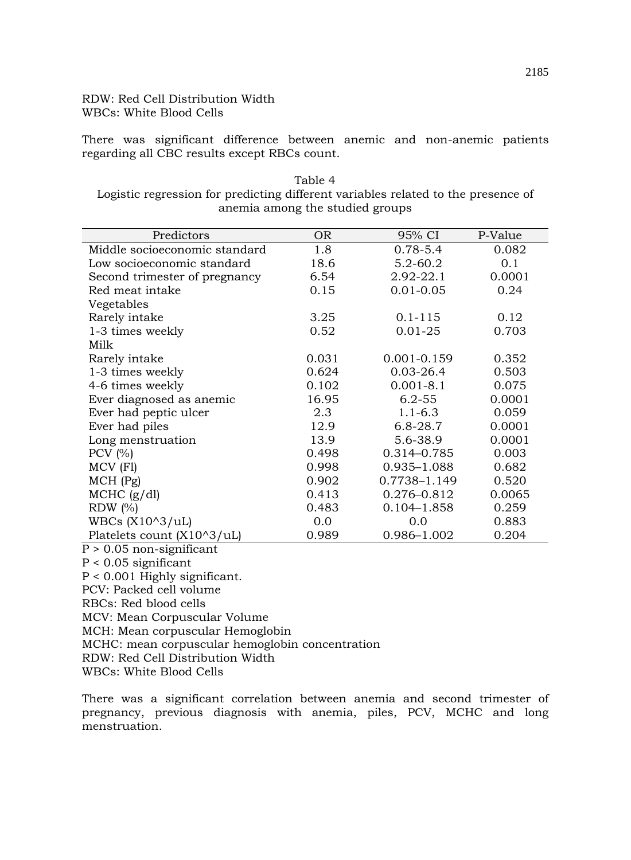# RDW: Red Cell Distribution Width WBCs: White Blood Cells

There was significant difference between anemic and non-anemic patients regarding all CBC results except RBCs count.

| Table 4                                                                           |
|-----------------------------------------------------------------------------------|
| Logistic regression for predicting different variables related to the presence of |
| anemia among the studied groups                                                   |

| Predictors                    | <b>OR</b> | 95% CI          | P-Value |
|-------------------------------|-----------|-----------------|---------|
| Middle socioeconomic standard | 1.8       | $0.78 - 5.4$    | 0.082   |
| Low socioeconomic standard    | 18.6      | $5.2 - 60.2$    | 0.1     |
| Second trimester of pregnancy | 6.54      | 2.92-22.1       | 0.0001  |
| Red meat intake               | 0.15      | $0.01 - 0.05$   | 0.24    |
| Vegetables                    |           |                 |         |
| Rarely intake                 | 3.25      | $0.1 - 115$     | 0.12    |
| 1-3 times weekly              | 0.52      | $0.01 - 25$     | 0.703   |
| Milk                          |           |                 |         |
| Rarely intake                 | 0.031     | $0.001 - 0.159$ | 0.352   |
| 1-3 times weekly              | 0.624     | $0.03 - 26.4$   | 0.503   |
| 4-6 times weekly              | 0.102     | $0.001 - 8.1$   | 0.075   |
| Ever diagnosed as anemic      | 16.95     | $6.2 - 55$      | 0.0001  |
| Ever had peptic ulcer         | 2.3       | $1.1 - 6.3$     | 0.059   |
| Ever had piles                | 12.9      | $6.8 - 28.7$    | 0.0001  |
| Long menstruation             | 13.9      | 5.6-38.9        | 0.0001  |
| PCV $(% )$                    | 0.498     | 0.314-0.785     | 0.003   |
| MCV (F1)                      | 0.998     | 0.935-1.088     | 0.682   |
| $MCH$ (Pg)                    | 0.902     | 0.7738-1.149    | 0.520   |
| $MCHC$ (g/dl)                 | 0.413     | 0.276-0.812     | 0.0065  |
| RDW $(\%)$                    | 0.483     | $0.104 - 1.858$ | 0.259   |
| WBCs $(X10^3/UL)$             | 0.0       | 0.0             | 0.883   |
| Platelets count (X10^3/uL)    | 0.989     | 0.986-1.002     | 0.204   |
| $P > 0.05$ non-significant    |           |                 |         |

P < 0.05 significant P < 0.001 Highly significant. PCV: Packed cell volume RBCs: Red blood cells MCV: Mean Corpuscular Volume MCH: Mean corpuscular Hemoglobin MCHC: mean corpuscular hemoglobin concentration RDW: Red Cell Distribution Width WBCs: White Blood Cells

There was a significant correlation between anemia and second trimester of pregnancy, previous diagnosis with anemia, piles, PCV, MCHC and long menstruation.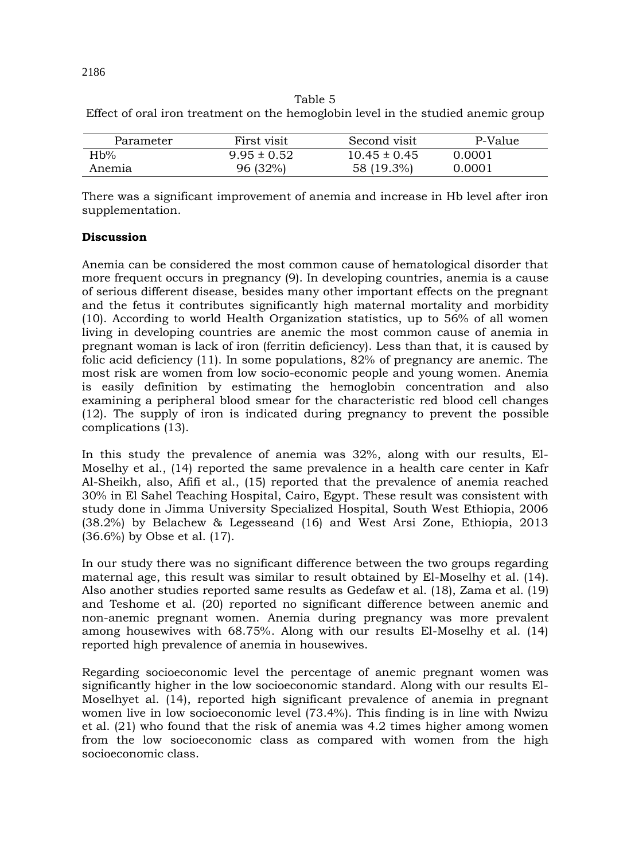Table 5

Effect of oral iron treatment on the hemoglobin level in the studied anemic group

| Parameter | First visit     | Second visit     | P-Value |
|-----------|-----------------|------------------|---------|
| Hb%       | $9.95 \pm 0.52$ | $10.45 \pm 0.45$ | 0.0001  |
| Anemia    | 96 (32%)        | 58 (19.3%)       | 0.0001  |

There was a significant improvement of anemia and increase in Hb level after iron supplementation.

# **Discussion**

Anemia can be considered the most common cause of hematological disorder that more frequent occurs in pregnancy (9). In developing countries, anemia is a cause of serious different disease, besides many other important effects on the pregnant and the fetus it contributes significantly high maternal mortality and morbidity (10). According to world Health Organization statistics, up to 56% of all women living in developing countries are anemic the most common cause of anemia in pregnant woman is lack of iron (ferritin deficiency). Less than that, it is caused by folic acid deficiency (11). In some populations, 82% of pregnancy are anemic. The most risk are women from low socio-economic people and young women. Anemia is easily definition by estimating the hemoglobin concentration and also examining a peripheral blood smear for the characteristic red blood cell changes (12). The supply of iron is indicated during pregnancy to prevent the possible complications (13).

In this study the prevalence of anemia was 32%, along with our results, El-Moselhy et al., (14) reported the same prevalence in a health care center in Kafr Al-Sheikh, also, Afifi et al., (15) reported that the prevalence of anemia reached 30% in El Sahel Teaching Hospital, Cairo, Egypt. These result was consistent with study done in Jimma University Specialized Hospital, South West Ethiopia, 2006 (38.2%) by Belachew & Legesseand (16) and West Arsi Zone, Ethiopia, 2013 (36.6%) by Obse et al. (17).

In our study there was no significant difference between the two groups regarding maternal age, this result was similar to result obtained by El-Moselhy et al. (14). Also another studies reported same results as Gedefaw et al. (18), Zama et al. (19) and Teshome et al. (20) reported no significant difference between anemic and non-anemic pregnant women. Anemia during pregnancy was more prevalent among housewives with 68.75%. Along with our results El-Moselhy et al. (14) reported high prevalence of anemia in housewives.

Regarding socioeconomic level the percentage of anemic pregnant women was significantly higher in the low socioeconomic standard. Along with our results El-Moselhyet al. (14), reported high significant prevalence of anemia in pregnant women live in low socioeconomic level (73.4%). This finding is in line with Nwizu et al. (21) who found that the risk of anemia was 4.2 times higher among women from the low socioeconomic class as compared with women from the high socioeconomic class.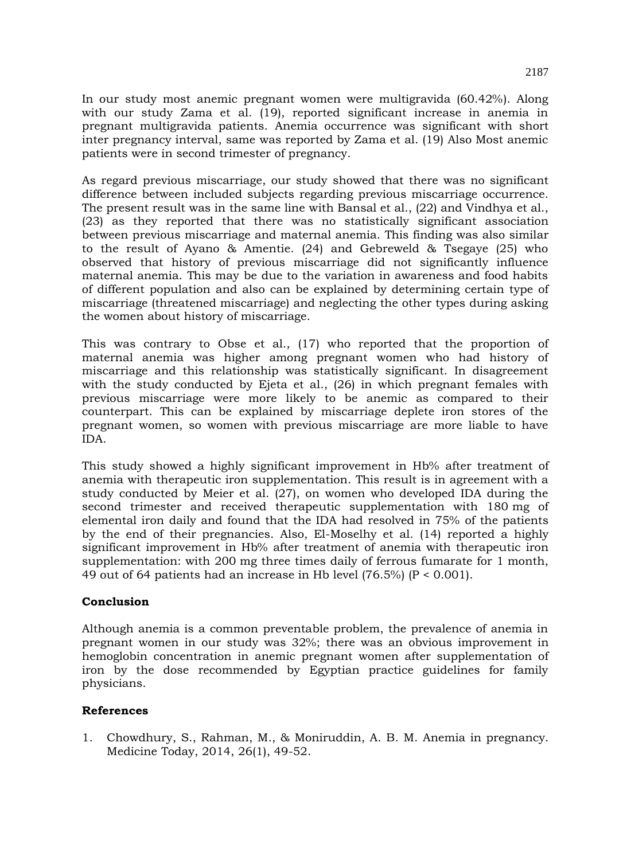In our study most anemic pregnant women were multigravida (60.42%). Along with our study Zama et al. (19), reported significant increase in anemia in pregnant multigravida patients. Anemia occurrence was significant with short inter pregnancy interval, same was reported by Zama et al. (19) Also Most anemic patients were in second trimester of pregnancy.

As regard previous miscarriage, our study showed that there was no significant difference between included subjects regarding previous miscarriage occurrence. The present result was in the same line with Bansal et al., (22) and Vindhya et al., (23) as they reported that there was no statistically significant association between previous miscarriage and maternal anemia. This finding was also similar to the result of Ayano & Amentie. (24) and Gebreweld & Tsegaye (25) who observed that history of previous miscarriage did not significantly influence maternal anemia. This may be due to the variation in awareness and food habits of different population and also can be explained by determining certain type of miscarriage (threatened miscarriage) and neglecting the other types during asking the women about history of miscarriage.

This was contrary to Obse et al., (17) who reported that the proportion of maternal anemia was higher among pregnant women who had history of miscarriage and this relationship was statistically significant. In disagreement with the study conducted by Ejeta et al., (26) in which pregnant females with previous miscarriage were more likely to be anemic as compared to their counterpart. This can be explained by miscarriage deplete iron stores of the pregnant women, so women with previous miscarriage are more liable to have IDA.

This study showed a highly significant improvement in Hb% after treatment of anemia with therapeutic iron supplementation. This result is in agreement with a study conducted by Meier et al. (27), on women who developed IDA during the second trimester and received therapeutic supplementation with 180 mg of elemental iron daily and found that the IDA had resolved in 75% of the patients by the end of their pregnancies. Also, El-Moselhy et al. (14) reported a highly significant improvement in Hb% after treatment of anemia with therapeutic iron supplementation: with 200 mg three times daily of ferrous fumarate for 1 month, 49 out of 64 patients had an increase in Hb level  $(76.5\%)$  (P < 0.001).

# **Conclusion**

Although anemia is a common preventable problem, the prevalence of anemia in pregnant women in our study was 32%; there was an obvious improvement in hemoglobin concentration in anemic pregnant women after supplementation of iron by the dose recommended by Egyptian practice guidelines for family physicians.

# **References**

1. Chowdhury, S., Rahman, M., & Moniruddin, A. B. M. Anemia in pregnancy. Medicine Today, 2014, 26(1), 49-52.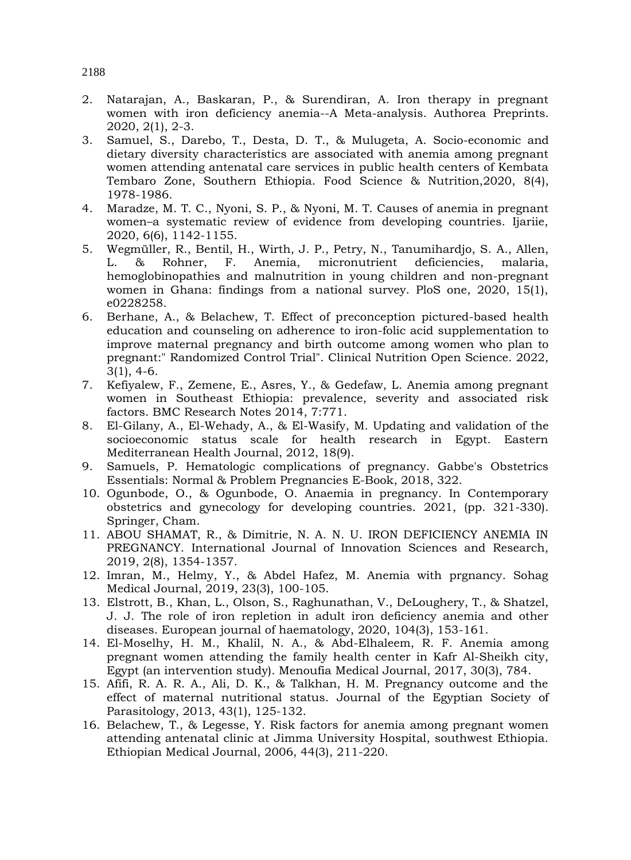- 2. Natarajan, A., Baskaran, P., & Surendiran, A. Iron therapy in pregnant women with iron deficiency anemia--A Meta-analysis. Authorea Preprints. 2020, 2(1), 2-3.
- 3. Samuel, S., Darebo, T., Desta, D. T., & Mulugeta, A. Socio-economic and dietary diversity characteristics are associated with anemia among pregnant women attending antenatal care services in public health centers of Kembata Tembaro Zone, Southern Ethiopia. Food Science & Nutrition,2020, 8(4), 1978-1986.
- 4. Maradze, M. T. C., Nyoni, S. P., & Nyoni, M. T. Causes of anemia in pregnant women–a systematic review of evidence from developing countries. Ijariie, 2020, 6(6), 1142-1155.
- 5. Wegmüller, R., Bentil, H., Wirth, J. P., Petry, N., Tanumihardjo, S. A., Allen, L. & Rohner, F. Anemia, micronutrient deficiencies, malaria, hemoglobinopathies and malnutrition in young children and non-pregnant women in Ghana: findings from a national survey. PloS one, 2020, 15(1), e0228258.
- 6. Berhane, A., & Belachew, T. Effect of preconception pictured-based health education and counseling on adherence to iron-folic acid supplementation to improve maternal pregnancy and birth outcome among women who plan to pregnant:" Randomized Control Trial". Clinical Nutrition Open Science. 2022, 3(1), 4-6.
- 7. Kefiyalew, F., Zemene, E., Asres, Y., & Gedefaw, L. Anemia among pregnant women in Southeast Ethiopia: prevalence, severity and associated risk factors. BMC Research Notes 2014, 7:771.
- 8. El-Gilany, A., El-Wehady, A., & El-Wasify, M. Updating and validation of the socioeconomic status scale for health research in Egypt. Eastern Mediterranean Health Journal, 2012, 18(9).
- 9. Samuels, P. Hematologic complications of pregnancy. Gabbe's Obstetrics Essentials: Normal & Problem Pregnancies E-Book, 2018, 322.
- 10. Ogunbode, O., & Ogunbode, O. Anaemia in pregnancy. In Contemporary obstetrics and gynecology for developing countries. 2021, (pp. 321-330). Springer, Cham.
- 11. ABOU SHAMAT, R., & Dimitrie, N. A. N. U. IRON DEFICIENCY ANEMIA IN PREGNANCY. International Journal of Innovation Sciences and Research, 2019, 2(8), 1354-1357.
- 12. Imran, M., Helmy, Y., & Abdel Hafez, M. Anemia with prgnancy. Sohag Medical Journal, 2019, 23(3), 100-105.
- 13. Elstrott, B., Khan, L., Olson, S., Raghunathan, V., DeLoughery, T., & Shatzel, J. J. The role of iron repletion in adult iron deficiency anemia and other diseases. European journal of haematology, 2020, 104(3), 153-161.
- 14. El-Moselhy, H. M., Khalil, N. A., & Abd-Elhaleem, R. F. Anemia among pregnant women attending the family health center in Kafr Al-Sheikh city, Egypt (an intervention study). Menoufia Medical Journal, 2017, 30(3), 784.
- 15. Afifi, R. A. R. A., Ali, D. K., & Talkhan, H. M. Pregnancy outcome and the effect of maternal nutritional status. Journal of the Egyptian Society of Parasitology, 2013, 43(1), 125-132.
- 16. Belachew, T., & Legesse, Y. Risk factors for anemia among pregnant women attending antenatal clinic at Jimma University Hospital, southwest Ethiopia. Ethiopian Medical Journal, 2006, 44(3), 211-220.

# 2188